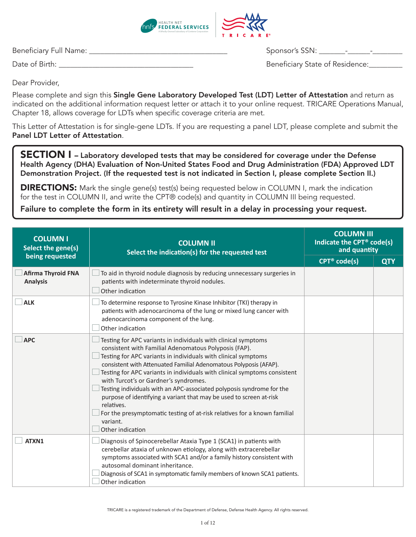

Beneficiary Full Name: \_\_\_\_\_\_\_\_\_\_\_\_\_\_\_\_\_\_\_\_\_\_\_\_\_\_\_\_\_\_\_\_\_\_\_\_\_ Sponsor's SSN: \_\_\_\_\_\_\_-\_\_\_\_\_\_-\_\_\_\_\_\_\_\_

Date of Birth: \_\_\_\_\_\_\_\_\_\_\_\_\_\_\_\_\_\_\_\_\_\_\_\_\_\_\_\_\_\_\_\_\_\_\_\_ Beneficiary State of Residence:\_\_\_\_\_\_\_\_\_

Dear Provider,

Please complete and sign this Single Gene Laboratory Developed Test (LDT) Letter of Attestation and return as indicated on the additional information request letter or attach it to your online request. TRICARE Operations Manual, Chapter 18, allows coverage for LDTs when specific coverage criteria are met.

This Letter of Attestation is for single-gene LDTs. If you are requesting a panel LDT, please complete and submit the Panel LDT Letter of Attestation.

SECTION I - Laboratory developed tests that may be considered for coverage under the Defense Health Agency (DHA) Evaluation of Non-United States Food and Drug Administration (FDA) Approved LDT Demonstration Project. (If the requested test is not indicated in Section I, please complete Section II.)

**DIRECTIONS:** Mark the single gene(s) test(s) being requested below in COLUMN I, mark the indication for the test in COLUMN II, and write the CPT® code(s) and quantity in COLUMN III being requested.

Failure to complete the form in its entirety will result in a delay in processing your request.

| <b>COLUMN I</b><br>Select the gene(s)        | <b>COLUMN II</b><br>Select the indication(s) for the requested test                                                                                                                                                                                                                                                                                                                                                                                                                                                                                                                                                                                            |                              | <b>COLUMN III</b><br>Indicate the CPT <sup>®</sup> code(s)<br>and quantity |
|----------------------------------------------|----------------------------------------------------------------------------------------------------------------------------------------------------------------------------------------------------------------------------------------------------------------------------------------------------------------------------------------------------------------------------------------------------------------------------------------------------------------------------------------------------------------------------------------------------------------------------------------------------------------------------------------------------------------|------------------------------|----------------------------------------------------------------------------|
| being requested                              |                                                                                                                                                                                                                                                                                                                                                                                                                                                                                                                                                                                                                                                                | $CPT^{\circledcirc}$ code(s) | <b>QTY</b>                                                                 |
| <b>Afirma Thyroid FNA</b><br><b>Analysis</b> | To aid in thyroid nodule diagnosis by reducing unnecessary surgeries in<br>patients with indeterminate thyroid nodules.<br>Other indication                                                                                                                                                                                                                                                                                                                                                                                                                                                                                                                    |                              |                                                                            |
| <b>ALK</b>                                   | To determine response to Tyrosine Kinase Inhibitor (TKI) therapy in<br>patients with adenocarcinoma of the lung or mixed lung cancer with<br>adenocarcinoma component of the lung.<br>Other indication                                                                                                                                                                                                                                                                                                                                                                                                                                                         |                              |                                                                            |
| <b>APC</b>                                   | Testing for APC variants in individuals with clinical symptoms<br>consistent with Familial Adenomatous Polyposis (FAP).<br>Testing for APC variants in individuals with clinical symptoms<br>consistent with Attenuated Familial Adenomatous Polyposis (AFAP).<br>Testing for APC variants in individuals with clinical symptoms consistent<br>with Turcot's or Gardner's syndromes.<br>Testing individuals with an APC-associated polyposis syndrome for the<br>purpose of identifying a variant that may be used to screen at-risk<br>relatives.<br>For the presymptomatic testing of at-risk relatives for a known familial<br>variant.<br>Other indication |                              |                                                                            |
| ATXN1                                        | Diagnosis of Spinocerebellar Ataxia Type 1 (SCA1) in patients with<br>cerebellar ataxia of unknown etiology, along with extracerebellar<br>symptoms associated with SCA1 and/or a family history consistent with<br>autosomal dominant inheritance.<br>Diagnosis of SCA1 in symptomatic family members of known SCA1 patients.<br>Other indication                                                                                                                                                                                                                                                                                                             |                              |                                                                            |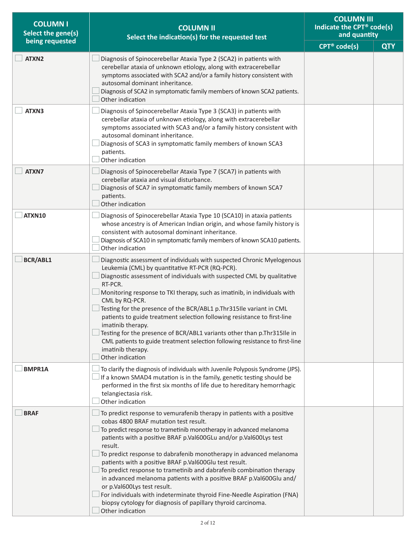| <b>COLUMN I</b><br>Select the gene(s) | <b>COLUMN II</b><br>Select the indication(s) for the requested test                                                                                                                                                                                                                                                                                                                                                                                                                                                                                                                                                                                                                                                                                 | <b>COLUMN III</b><br>Indicate the CPT® code(s)<br>and quantity |            |
|---------------------------------------|-----------------------------------------------------------------------------------------------------------------------------------------------------------------------------------------------------------------------------------------------------------------------------------------------------------------------------------------------------------------------------------------------------------------------------------------------------------------------------------------------------------------------------------------------------------------------------------------------------------------------------------------------------------------------------------------------------------------------------------------------------|----------------------------------------------------------------|------------|
| being requested                       |                                                                                                                                                                                                                                                                                                                                                                                                                                                                                                                                                                                                                                                                                                                                                     | $CPT^{\circledast}$ code(s)                                    | <b>QTY</b> |
| ATXN2                                 | Diagnosis of Spinocerebellar Ataxia Type 2 (SCA2) in patients with<br>cerebellar ataxia of unknown etiology, along with extracerebellar<br>symptoms associated with SCA2 and/or a family history consistent with<br>autosomal dominant inheritance.<br>Diagnosis of SCA2 in symptomatic family members of known SCA2 patients.<br>Other indication                                                                                                                                                                                                                                                                                                                                                                                                  |                                                                |            |
| ATXN3                                 | Diagnosis of Spinocerebellar Ataxia Type 3 (SCA3) in patients with<br>cerebellar ataxia of unknown etiology, along with extracerebellar<br>symptoms associated with SCA3 and/or a family history consistent with<br>autosomal dominant inheritance.<br>Diagnosis of SCA3 in symptomatic family members of known SCA3<br>patients.<br>Other indication                                                                                                                                                                                                                                                                                                                                                                                               |                                                                |            |
| ATXN7                                 | Diagnosis of Spinocerebellar Ataxia Type 7 (SCA7) in patients with<br>cerebellar ataxia and visual disturbance.<br>Diagnosis of SCA7 in symptomatic family members of known SCA7<br>patients.<br>Other indication                                                                                                                                                                                                                                                                                                                                                                                                                                                                                                                                   |                                                                |            |
| ATXN10                                | Diagnosis of Spinocerebellar Ataxia Type 10 (SCA10) in ataxia patients<br>whose ancestry is of American Indian origin, and whose family history is<br>consistent with autosomal dominant inheritance.<br>Diagnosis of SCA10 in symptomatic family members of known SCA10 patients.<br>Other indication                                                                                                                                                                                                                                                                                                                                                                                                                                              |                                                                |            |
| BCR/ABL1                              | Diagnostic assessment of individuals with suspected Chronic Myelogenous<br>Leukemia (CML) by quantitative RT-PCR (RQ-PCR).<br>Diagnostic assessment of individuals with suspected CML by qualitative<br>RT-PCR.<br>Monitoring response to TKI therapy, such as imatinib, in individuals with<br>CML by RQ-PCR.<br>Testing for the presence of the BCR/ABL1 p.Thr315Ile variant in CML<br>patients to guide treatment selection following resistance to first-line<br>imatinib therapy.<br>Testing for the presence of BCR/ABL1 variants other than p.Thr315Ile in<br>CML patients to guide treatment selection following resistance to first-line<br>imatinib therapy.<br>Other indication                                                          |                                                                |            |
| <b>BMPR1A</b>                         | To clarify the diagnosis of individuals with Juvenile Polyposis Syndrome (JPS).<br>If a known SMAD4 mutation is in the family, genetic testing should be<br>performed in the first six months of life due to hereditary hemorrhagic<br>telangiectasia risk.<br>Other indication                                                                                                                                                                                                                                                                                                                                                                                                                                                                     |                                                                |            |
| <b>BRAF</b>                           | To predict response to vemurafenib therapy in patients with a positive<br>cobas 4800 BRAF mutation test result.<br>To predict response to trametinib monotherapy in advanced melanoma<br>patients with a positive BRAF p.Val600GLu and/or p.Val600Lys test<br>result.<br>To predict response to dabrafenib monotherapy in advanced melanoma<br>patients with a positive BRAF p.Val600Glu test result.<br>To predict response to trametinib and dabrafenib combination therapy<br>in advanced melanoma patients with a positive BRAF p.Val600Glu and/<br>or p.Val600Lys test result.<br>For individuals with indeterminate thyroid Fine-Needle Aspiration (FNA)<br>biopsy cytology for diagnosis of papillary thyroid carcinoma.<br>Other indication |                                                                |            |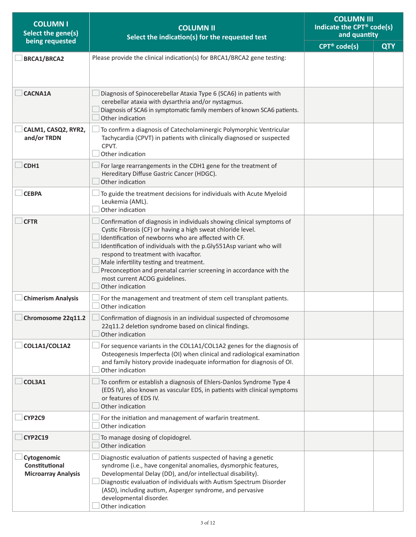| <b>COLUMN I</b><br>Select the gene(s)                       | <b>COLUMN II</b><br>Select the indication(s) for the requested test                                                                                                                                                                                                                                                                                                                                                                                                                | <b>COLUMN III</b><br>Indicate the CPT® code(s)<br>and quantity |            |
|-------------------------------------------------------------|------------------------------------------------------------------------------------------------------------------------------------------------------------------------------------------------------------------------------------------------------------------------------------------------------------------------------------------------------------------------------------------------------------------------------------------------------------------------------------|----------------------------------------------------------------|------------|
| being requested                                             |                                                                                                                                                                                                                                                                                                                                                                                                                                                                                    | $CPT^{\circledcirc}$ code(s)                                   | <b>QTY</b> |
| <b>BRCA1/BRCA2</b>                                          | Please provide the clinical indication(s) for BRCA1/BRCA2 gene testing:                                                                                                                                                                                                                                                                                                                                                                                                            |                                                                |            |
| <b>CACNA1A</b>                                              | Diagnosis of Spinocerebellar Ataxia Type 6 (SCA6) in patients with<br>cerebellar ataxia with dysarthria and/or nystagmus.<br>Diagnosis of SCA6 in symptomatic family members of known SCA6 patients.<br>Other indication                                                                                                                                                                                                                                                           |                                                                |            |
| CALM1, CASQ2, RYR2,<br>and/or TRDN                          | To confirm a diagnosis of Catecholaminergic Polymorphic Ventricular<br>Tachycardia (CPVT) in patients with clinically diagnosed or suspected<br>CPVT.<br>Other indication                                                                                                                                                                                                                                                                                                          |                                                                |            |
| CDH1                                                        | For large rearrangements in the CDH1 gene for the treatment of<br>Hereditary Diffuse Gastric Cancer (HDGC).<br>Other indication                                                                                                                                                                                                                                                                                                                                                    |                                                                |            |
| <b>CEBPA</b>                                                | To guide the treatment decisions for individuals with Acute Myeloid<br>Leukemia (AML).<br>Other indication                                                                                                                                                                                                                                                                                                                                                                         |                                                                |            |
| <b>CFTR</b>                                                 | Confirmation of diagnosis in individuals showing clinical symptoms of<br>Cystic Fibrosis (CF) or having a high sweat chloride level.<br>Identification of newborns who are affected with CF.<br>Identification of individuals with the p.Gly551Asp variant who will<br>respond to treatment with ivacaftor.<br>Male infertility testing and treatment.<br>Preconception and prenatal carrier screening in accordance with the<br>most current ACOG guidelines.<br>Other indication |                                                                |            |
| <b>Chimerism Analysis</b>                                   | For the management and treatment of stem cell transplant patients.<br>Other indication                                                                                                                                                                                                                                                                                                                                                                                             |                                                                |            |
| Chromosome 22q11.2                                          | $\Box$ Confirmation of diagnosis in an individual suspected of chromosome<br>22q11.2 deletion syndrome based on clinical findings.<br>Other indication                                                                                                                                                                                                                                                                                                                             |                                                                |            |
| COL1A1/COL1A2                                               | For sequence variants in the COL1A1/COL1A2 genes for the diagnosis of<br>Osteogenesis Imperfecta (OI) when clinical and radiological examination<br>and family history provide inadequate information for diagnosis of OI.<br>Other indication                                                                                                                                                                                                                                     |                                                                |            |
| COL3A1                                                      | To confirm or establish a diagnosis of Ehlers-Danlos Syndrome Type 4<br>(EDS IV), also known as vascular EDS, in patients with clinical symptoms<br>or features of EDS IV.<br>Other indication                                                                                                                                                                                                                                                                                     |                                                                |            |
| CYP2C9                                                      | For the initiation and management of warfarin treatment.<br>Other indication                                                                                                                                                                                                                                                                                                                                                                                                       |                                                                |            |
| <b>CYP2C19</b>                                              | To manage dosing of clopidogrel.<br>Other indication                                                                                                                                                                                                                                                                                                                                                                                                                               |                                                                |            |
| Cytogenomic<br>Constitutional<br><b>Microarray Analysis</b> | Diagnostic evaluation of patients suspected of having a genetic<br>syndrome (i.e., have congenital anomalies, dysmorphic features,<br>Developmental Delay (DD), and/or intellectual disability).<br>Diagnostic evaluation of individuals with Autism Spectrum Disorder<br>(ASD), including autism, Asperger syndrome, and pervasive<br>developmental disorder.<br>Other indication                                                                                                 |                                                                |            |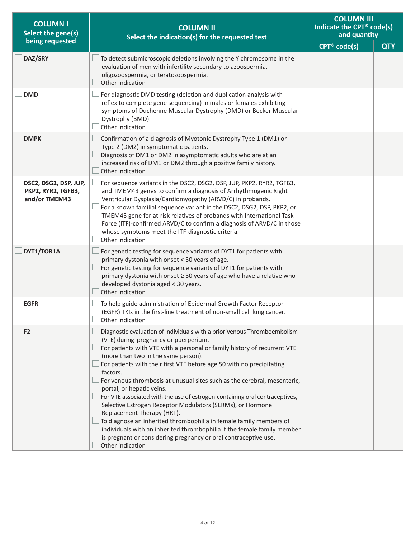| <b>COLUMN I</b><br>Select the gene(s)                        | <b>COLUMN II</b><br>Select the indication(s) for the requested test                                                                                                                                                                                                                                                                                                                                                                                                                                                                                                                                                                                                                                                                                                                                                                                   | <b>COLUMN III</b><br>Indicate the CPT® code(s)<br>and quantity |            |
|--------------------------------------------------------------|-------------------------------------------------------------------------------------------------------------------------------------------------------------------------------------------------------------------------------------------------------------------------------------------------------------------------------------------------------------------------------------------------------------------------------------------------------------------------------------------------------------------------------------------------------------------------------------------------------------------------------------------------------------------------------------------------------------------------------------------------------------------------------------------------------------------------------------------------------|----------------------------------------------------------------|------------|
| being requested                                              |                                                                                                                                                                                                                                                                                                                                                                                                                                                                                                                                                                                                                                                                                                                                                                                                                                                       | CPT <sup>®</sup> code(s)                                       | <b>QTY</b> |
| DAZ/SRY                                                      | To detect submicroscopic deletions involving the Y chromosome in the<br>evaluation of men with infertility secondary to azoospermia,<br>oligozoospermia, or teratozoospermia.<br>Other indication                                                                                                                                                                                                                                                                                                                                                                                                                                                                                                                                                                                                                                                     |                                                                |            |
| <b>DMD</b>                                                   | For diagnostic DMD testing (deletion and duplication analysis with<br>reflex to complete gene sequencing) in males or females exhibiting<br>symptoms of Duchenne Muscular Dystrophy (DMD) or Becker Muscular<br>Dystrophy (BMD).<br>Other indication                                                                                                                                                                                                                                                                                                                                                                                                                                                                                                                                                                                                  |                                                                |            |
| <b>DMPK</b>                                                  | Confirmation of a diagnosis of Myotonic Dystrophy Type 1 (DM1) or<br>Type 2 (DM2) in symptomatic patients.<br>Diagnosis of DM1 or DM2 in asymptomatic adults who are at an<br>increased risk of DM1 or DM2 through a positive family history.<br>Other indication                                                                                                                                                                                                                                                                                                                                                                                                                                                                                                                                                                                     |                                                                |            |
| DSC2, DSG2, DSP, JUP,<br>PKP2, RYR2, TGFB3,<br>and/or TMEM43 | For sequence variants in the DSC2, DSG2, DSP, JUP, PKP2, RYR2, TGFB3,<br>and TMEM43 genes to confirm a diagnosis of Arrhythmogenic Right<br>Ventricular Dysplasia/Cardiomyopathy (ARVD/C) in probands.<br>For a known familial sequence variant in the DSC2, DSG2, DSP, PKP2, or<br>TMEM43 gene for at-risk relatives of probands with International Task<br>Force (ITF)-confirmed ARVD/C to confirm a diagnosis of ARVD/C in those<br>whose symptoms meet the ITF-diagnostic criteria.<br>Other indication                                                                                                                                                                                                                                                                                                                                           |                                                                |            |
| DYT1/TOR1A                                                   | For genetic testing for sequence variants of DYT1 for patients with<br>primary dystonia with onset < 30 years of age.<br>For genetic testing for sequence variants of DYT1 for patients with<br>primary dystonia with onset ≥ 30 years of age who have a relative who<br>developed dystonia aged < 30 years.<br>Other indication                                                                                                                                                                                                                                                                                                                                                                                                                                                                                                                      |                                                                |            |
| <b>EGFR</b>                                                  | To help guide administration of Epidermal Growth Factor Receptor<br>(EGFR) TKIs in the first-line treatment of non-small cell lung cancer.<br>Other indication                                                                                                                                                                                                                                                                                                                                                                                                                                                                                                                                                                                                                                                                                        |                                                                |            |
| F2                                                           | Diagnostic evaluation of individuals with a prior Venous Thromboembolism<br>(VTE) during pregnancy or puerperium.<br>For patients with VTE with a personal or family history of recurrent VTE<br>(more than two in the same person).<br>For patients with their first VTE before age 50 with no precipitating<br>factors.<br>For venous thrombosis at unusual sites such as the cerebral, mesenteric,<br>portal, or hepatic veins.<br>For VTE associated with the use of estrogen-containing oral contraceptives,<br>Selective Estrogen Receptor Modulators (SERMs), or Hormone<br>Replacement Therapy (HRT).<br>To diagnose an inherited thrombophilia in female family members of<br>individuals with an inherited thrombophilia if the female family member<br>is pregnant or considering pregnancy or oral contraceptive use.<br>Other indication |                                                                |            |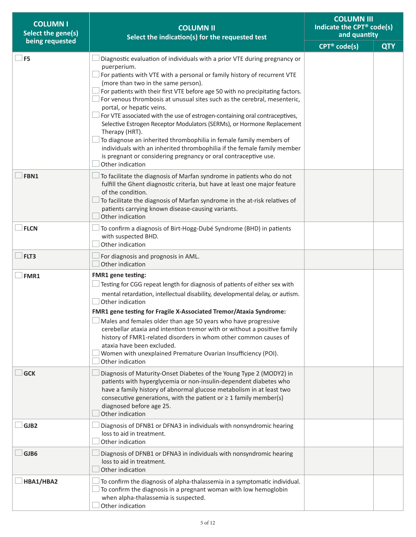| <b>COLUMNI</b><br>Select the gene(s) | <b>COLUMN II</b><br>Select the indication(s) for the requested test                                                                                                                                                                                                                                                                                                                                                                                                                                                                                                                                                                                                                                                                                                                                                       |                          | <b>COLUMN III</b><br>Indicate the CPT® code(s)<br>and quantity |
|--------------------------------------|---------------------------------------------------------------------------------------------------------------------------------------------------------------------------------------------------------------------------------------------------------------------------------------------------------------------------------------------------------------------------------------------------------------------------------------------------------------------------------------------------------------------------------------------------------------------------------------------------------------------------------------------------------------------------------------------------------------------------------------------------------------------------------------------------------------------------|--------------------------|----------------------------------------------------------------|
| being requested                      |                                                                                                                                                                                                                                                                                                                                                                                                                                                                                                                                                                                                                                                                                                                                                                                                                           | CPT <sup>®</sup> code(s) | <b>QTY</b>                                                     |
| F <sub>5</sub>                       | Diagnostic evaluation of individuals with a prior VTE during pregnancy or<br>puerperium.<br>For patients with VTE with a personal or family history of recurrent VTE<br>(more than two in the same person).<br>For patients with their first VTE before age 50 with no precipitating factors.<br>For venous thrombosis at unusual sites such as the cerebral, mesenteric,<br>portal, or hepatic veins.<br>For VTE associated with the use of estrogen-containing oral contraceptives,<br>Selective Estrogen Receptor Modulators (SERMs), or Hormone Replacement<br>Therapy (HRT).<br>To diagnose an inherited thrombophilia in female family members of<br>individuals with an inherited thrombophilia if the female family member<br>is pregnant or considering pregnancy or oral contraceptive use.<br>Other indication |                          |                                                                |
| FBN1                                 | To facilitate the diagnosis of Marfan syndrome in patients who do not<br>fulfill the Ghent diagnostic criteria, but have at least one major feature<br>of the condition.<br>To facilitate the diagnosis of Marfan syndrome in the at-risk relatives of<br>patients carrying known disease-causing variants.<br>Other indication                                                                                                                                                                                                                                                                                                                                                                                                                                                                                           |                          |                                                                |
| <b>FLCN</b>                          | To confirm a diagnosis of Birt-Hogg-Dubé Syndrome (BHD) in patients<br>with suspected BHD.<br>Other indication                                                                                                                                                                                                                                                                                                                                                                                                                                                                                                                                                                                                                                                                                                            |                          |                                                                |
| FLT3                                 | For diagnosis and prognosis in AML.<br>Other indication                                                                                                                                                                                                                                                                                                                                                                                                                                                                                                                                                                                                                                                                                                                                                                   |                          |                                                                |
| FMR1                                 | <b>FMR1</b> gene testing:<br>Testing for CGG repeat length for diagnosis of patients of either sex with<br>mental retardation, intellectual disability, developmental delay, or autism.<br>Other indication<br>FMR1 gene testing for Fragile X-Associated Tremor/Ataxia Syndrome:<br>Males and females older than age 50 years who have progressive<br>cerebellar ataxia and intention tremor with or without a positive family<br>history of FMR1-related disorders in whom other common causes of<br>ataxia have been excluded.<br>Women with unexplained Premature Ovarian Insufficiency (POI).<br>Other indication                                                                                                                                                                                                    |                          |                                                                |
| <b>GCK</b>                           | Diagnosis of Maturity-Onset Diabetes of the Young Type 2 (MODY2) in<br>patients with hyperglycemia or non-insulin-dependent diabetes who<br>have a family history of abnormal glucose metabolism in at least two<br>consecutive generations, with the patient or $\geq 1$ family member(s)<br>diagnosed before age 25.<br>Other indication                                                                                                                                                                                                                                                                                                                                                                                                                                                                                |                          |                                                                |
| GJB2                                 | Diagnosis of DFNB1 or DFNA3 in individuals with nonsyndromic hearing<br>loss to aid in treatment.<br>Other indication                                                                                                                                                                                                                                                                                                                                                                                                                                                                                                                                                                                                                                                                                                     |                          |                                                                |
| GJB6                                 | Diagnosis of DFNB1 or DFNA3 in individuals with nonsyndromic hearing<br>loss to aid in treatment.<br>Other indication                                                                                                                                                                                                                                                                                                                                                                                                                                                                                                                                                                                                                                                                                                     |                          |                                                                |
| HBA1/HBA2                            | To confirm the diagnosis of alpha-thalassemia in a symptomatic individual.<br>To confirm the diagnosis in a pregnant woman with low hemoglobin<br>when alpha-thalassemia is suspected.<br>Other indication                                                                                                                                                                                                                                                                                                                                                                                                                                                                                                                                                                                                                |                          |                                                                |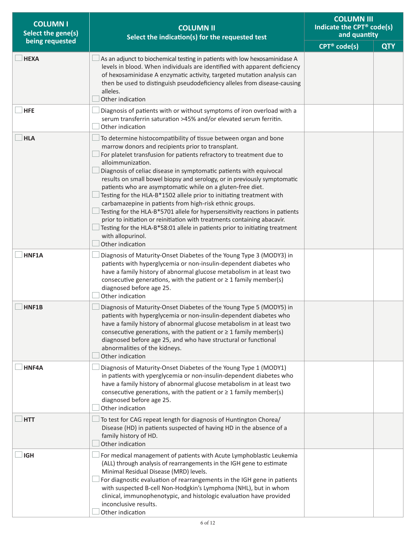| <b>COLUMN I</b><br>Select the gene(s) | <b>COLUMN II</b><br>Select the indication(s) for the requested test                                                                                                                                                                                                                                                                                                                                                                                                                                                                                                                                                                                                                                                                                                                                                                                        | <b>COLUMN III</b><br>Indicate the CPT® code(s)<br>and quantity |            |
|---------------------------------------|------------------------------------------------------------------------------------------------------------------------------------------------------------------------------------------------------------------------------------------------------------------------------------------------------------------------------------------------------------------------------------------------------------------------------------------------------------------------------------------------------------------------------------------------------------------------------------------------------------------------------------------------------------------------------------------------------------------------------------------------------------------------------------------------------------------------------------------------------------|----------------------------------------------------------------|------------|
| being requested                       |                                                                                                                                                                                                                                                                                                                                                                                                                                                                                                                                                                                                                                                                                                                                                                                                                                                            | CPT <sup>®</sup> code(s)                                       | <b>QTY</b> |
| <b>HEXA</b>                           | As an adjunct to biochemical testing in patients with low hexosaminidase A<br>levels in blood. When individuals are identified with apparent deficiency<br>of hexosaminidase A enzymatic activity, targeted mutation analysis can<br>then be used to distinguish pseudodeficiency alleles from disease-causing<br>alleles.<br>Other indication                                                                                                                                                                                                                                                                                                                                                                                                                                                                                                             |                                                                |            |
| <b>HFE</b>                            | Diagnosis of patients with or without symptoms of iron overload with a<br>serum transferrin saturation >45% and/or elevated serum ferritin.<br>Other indication                                                                                                                                                                                                                                                                                                                                                                                                                                                                                                                                                                                                                                                                                            |                                                                |            |
| <b>HLA</b>                            | To determine histocompatibility of tissue between organ and bone<br>marrow donors and recipients prior to transplant.<br>For platelet transfusion for patients refractory to treatment due to<br>alloimmunization.<br>Diagnosis of celiac disease in symptomatic patients with equivocal<br>results on small bowel biopsy and serology, or in previously symptomatic<br>patients who are asymptomatic while on a gluten-free diet.<br>Testing for the HLA-B*1502 allele prior to initiating treatment with<br>carbamazepine in patients from high-risk ethnic groups.<br>Testing for the HLA-B*5701 allele for hypersensitivity reactions in patients<br>prior to initiation or reinitiation with treatments containing abacavir.<br>Testing for the HLA-B*58:01 allele in patients prior to initiating treatment<br>with allopurinol.<br>Other indication |                                                                |            |
| HNF1A                                 | Diagnosis of Maturity-Onset Diabetes of the Young Type 3 (MODY3) in<br>patients with hyperglycemia or non-insulin-dependent diabetes who<br>have a family history of abnormal glucose metabolism in at least two<br>consecutive generations, with the patient or $\geq 1$ family member(s)<br>diagnosed before age 25.<br>Other indication                                                                                                                                                                                                                                                                                                                                                                                                                                                                                                                 |                                                                |            |
| HNF1B                                 | Diagnosis of Maturity-Onset Diabetes of the Young Type 5 (MODY5) in<br>patients with hyperglycemia or non-insulin-dependent diabetes who<br>have a family history of abnormal glucose metabolism in at least two<br>consecutive generations, with the patient or $\geq 1$ family member(s)<br>diagnosed before age 25, and who have structural or functional<br>abnormalities of the kidneys.<br>Other indication                                                                                                                                                                                                                                                                                                                                                                                                                                          |                                                                |            |
| HNF4A                                 | Diagnosis of Maturity-Onset Diabetes of the Young Type 1 (MODY1)<br>in patients with yperglycemia or non-insulin-dependent diabetes who<br>have a family history of abnormal glucose metabolism in at least two<br>consecutive generations, with the patient or $\geq 1$ family member(s)<br>diagnosed before age 25.<br>Other indication                                                                                                                                                                                                                                                                                                                                                                                                                                                                                                                  |                                                                |            |
| <b>HTT</b>                            | To test for CAG repeat length for diagnosis of Huntington Chorea/<br>Disease (HD) in patients suspected of having HD in the absence of a<br>family history of HD.<br>Other indication                                                                                                                                                                                                                                                                                                                                                                                                                                                                                                                                                                                                                                                                      |                                                                |            |
| <b>IGH</b>                            | For medical management of patients with Acute Lymphoblastic Leukemia<br>(ALL) through analysis of rearrangements in the IGH gene to estimate<br>Minimal Residual Disease (MRD) levels.<br>For diagnostic evaluation of rearrangements in the IGH gene in patients<br>with suspected B-cell Non-Hodgkin's Lymphoma (NHL), but in whom<br>clinical, immunophenotypic, and histologic evaluation have provided<br>inconclusive results.<br>Other indication                                                                                                                                                                                                                                                                                                                                                                                                   |                                                                |            |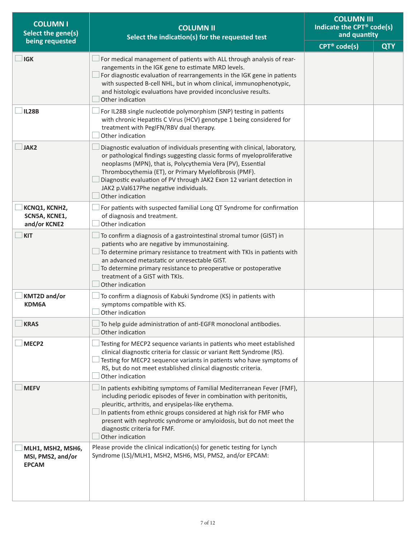| <b>COLUMN I</b><br>Select the gene(s)                  | <b>COLUMN II</b><br>Select the indication(s) for the requested test                                                                                                                                                                                                                                                                                                                                                  | <b>COLUMN III</b><br>Indicate the CPT® code(s)<br>and quantity |            |
|--------------------------------------------------------|----------------------------------------------------------------------------------------------------------------------------------------------------------------------------------------------------------------------------------------------------------------------------------------------------------------------------------------------------------------------------------------------------------------------|----------------------------------------------------------------|------------|
| being requested                                        |                                                                                                                                                                                                                                                                                                                                                                                                                      | CPT <sup>®</sup> code(s)                                       | <b>QTY</b> |
| <b>IGK</b>                                             | For medical management of patients with ALL through analysis of rear-<br>rangements in the IGK gene to estimate MRD levels.<br>For diagnostic evaluation of rearrangements in the IGK gene in patients<br>with suspected B-cell NHL, but in whom clinical, immunophenotypic,<br>and histologic evaluations have provided inconclusive results.<br>Other indication                                                   |                                                                |            |
| <b>IL28B</b>                                           | For IL28B single nucleotide polymorphism (SNP) testing in patients<br>with chronic Hepatitis C Virus (HCV) genotype 1 being considered for<br>treatment with PegIFN/RBV dual therapy.<br>Other indication                                                                                                                                                                                                            |                                                                |            |
| JAK2                                                   | Diagnostic evaluation of individuals presenting with clinical, laboratory,<br>or pathological findings suggesting classic forms of myeloproliferative<br>neoplasms (MPN), that is, Polycythemia Vera (PV), Essential<br>Thrombocythemia (ET), or Primary Myelofibrosis (PMF).<br>Diagnostic evaluation of PV through JAK2 Exon 12 variant detection in<br>JAK2 p.Val617Phe negative individuals.<br>Other indication |                                                                |            |
| KCNQ1, KCNH2,<br>SCN5A, KCNE1,<br>and/or KCNE2         | For patients with suspected familial Long QT Syndrome for confirmation<br>of diagnosis and treatment.<br>Other indication                                                                                                                                                                                                                                                                                            |                                                                |            |
| <b>KIT</b>                                             | To confirm a diagnosis of a gastrointestinal stromal tumor (GIST) in<br>patients who are negative by immunostaining.<br>To determine primary resistance to treatment with TKIs in patients with<br>an advanced metastatic or unresectable GIST.<br>To determine primary resistance to preoperative or postoperative<br>treatment of a GIST with TKIs.<br>Other indication                                            |                                                                |            |
| <b>KMT2D and/or</b><br>KDM6A                           | To confirm a diagnosis of Kabuki Syndrome (KS) in patients with<br>symptoms compatible with KS.<br>Other indication                                                                                                                                                                                                                                                                                                  |                                                                |            |
| <b>KRAS</b>                                            | To help guide administration of anti-EGFR monoclonal antibodies.<br>Other indication                                                                                                                                                                                                                                                                                                                                 |                                                                |            |
| MECP <sub>2</sub>                                      | Testing for MECP2 sequence variants in patients who meet established<br>clinical diagnostic criteria for classic or variant Rett Syndrome (RS).<br>Testing for MECP2 sequence variants in patients who have symptoms of<br>RS, but do not meet established clinical diagnostic criteria.<br>Other indication                                                                                                         |                                                                |            |
| <b>MEFV</b>                                            | In patients exhibiting symptoms of Familial Mediterranean Fever (FMF),<br>including periodic episodes of fever in combination with peritonitis,<br>pleuritic, arthritis, and erysipelas-like erythema.<br>In patients from ethnic groups considered at high risk for FMF who<br>present with nephrotic syndrome or amyloidosis, but do not meet the<br>diagnostic criteria for FMF.<br>Other indication              |                                                                |            |
| MLH1, MSH2, MSH6,<br>MSI, PMS2, and/or<br><b>EPCAM</b> | Please provide the clinical indication(s) for genetic testing for Lynch<br>Syndrome (LS)/MLH1, MSH2, MSH6, MSI, PMS2, and/or EPCAM:                                                                                                                                                                                                                                                                                  |                                                                |            |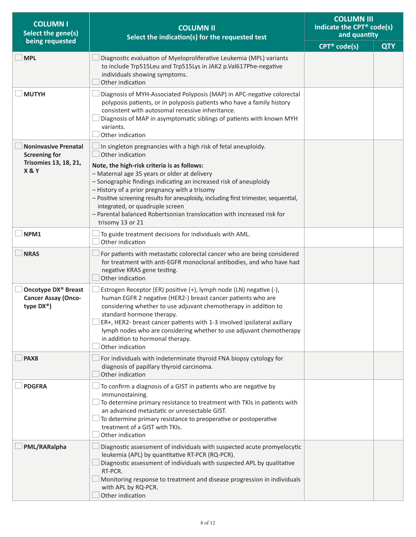| <b>COLUMN I</b><br><b>COLUMN II</b><br>Select the gene(s)<br>Select the indication(s) for the requested test |                                                                                                                                                                                                                                                                                                                                                                                                                                                                                                                                 | <b>COLUMN III</b><br>Indicate the CPT® code(s)<br>and quantity |            |
|--------------------------------------------------------------------------------------------------------------|---------------------------------------------------------------------------------------------------------------------------------------------------------------------------------------------------------------------------------------------------------------------------------------------------------------------------------------------------------------------------------------------------------------------------------------------------------------------------------------------------------------------------------|----------------------------------------------------------------|------------|
| being requested                                                                                              |                                                                                                                                                                                                                                                                                                                                                                                                                                                                                                                                 | CPT <sup>®</sup> code(s)                                       | <b>QTY</b> |
| <b>MPL</b>                                                                                                   | Diagnostic evaluation of Myeloproliferative Leukemia (MPL) variants<br>to include Trp515Leu and Trp515Lys in JAK2 p.Val617Phe-negative<br>individuals showing symptoms.<br>Other indication                                                                                                                                                                                                                                                                                                                                     |                                                                |            |
| <b>MUTYH</b>                                                                                                 | Diagnosis of MYH-Associated Polyposis (MAP) in APC-negative colorectal<br>polyposis patients, or in polyposis patients who have a family history<br>consistent with autosomal recessive inheritance.<br>Diagnosis of MAP in asymptomatic siblings of patients with known MYH<br>variants.<br>Other indication                                                                                                                                                                                                                   |                                                                |            |
| <b>Noninvasive Prenatal</b><br><b>Screening for</b><br><b>Trisomies 13, 18, 21,</b><br>X&Y                   | In singleton pregnancies with a high risk of fetal aneuploidy.<br>Other indication<br>Note, the high-risk criteria is as follows:<br>- Maternal age 35 years or older at delivery<br>- Sonographic findings indicating an increased risk of aneuploidy<br>- History of a prior pregnancy with a trisomy<br>- Positive screening results for aneuploidy, including first trimester, sequential,<br>integrated, or quadruple screen<br>- Parental balanced Robertsonian translocation with increased risk for<br>trisomy 13 or 21 |                                                                |            |
| NPM1                                                                                                         | To guide treatment decisions for individuals with AML.<br>Other indication                                                                                                                                                                                                                                                                                                                                                                                                                                                      |                                                                |            |
| <b>NRAS</b>                                                                                                  | For patients with metastatic colorectal cancer who are being considered<br>for treatment with anti-EGFR monoclonal antibodies, and who have had<br>negative KRAS gene testing.<br>Other indication                                                                                                                                                                                                                                                                                                                              |                                                                |            |
| Oncotype DX <sup>®</sup> Breast<br><b>Cancer Assay (Onco-</b><br>type DX <sup>®</sup> )                      | Estrogen Receptor (ER) positive (+), lymph node (LN) negative (-),<br>human EGFR 2 negative (HER2-) breast cancer patients who are<br>considering whether to use adjuvant chemotherapy in addition to<br>standard hormone therapy.<br>ER+, HER2- breast cancer patients with 1-3 involved ipsilateral axillary<br>lymph nodes who are considering whether to use adjuvant chemotherapy<br>in addition to hormonal therapy.<br>Other indication                                                                                  |                                                                |            |
| PAX <sub>8</sub>                                                                                             | For individuals with indeterminate thyroid FNA biopsy cytology for<br>diagnosis of papillary thyroid carcinoma.<br>Other indication                                                                                                                                                                                                                                                                                                                                                                                             |                                                                |            |
| <b>PDGFRA</b>                                                                                                | To confirm a diagnosis of a GIST in patients who are negative by<br>immunostaining.<br>To determine primary resistance to treatment with TKIs in patients with<br>an advanced metastatic or unresectable GIST.<br>To determine primary resistance to preoperative or postoperative<br>treatment of a GIST with TKIs.<br>Other indication                                                                                                                                                                                        |                                                                |            |
| PML/RARalpha                                                                                                 | Diagnostic assessment of individuals with suspected acute promyelocytic<br>leukemia (APL) by quantitative RT-PCR (RQ-PCR).<br>Diagnostic assessment of individuals with suspected APL by qualitative<br>RT-PCR.<br>Monitoring response to treatment and disease progression in individuals<br>with APL by RQ-PCR.<br>Other indication                                                                                                                                                                                           |                                                                |            |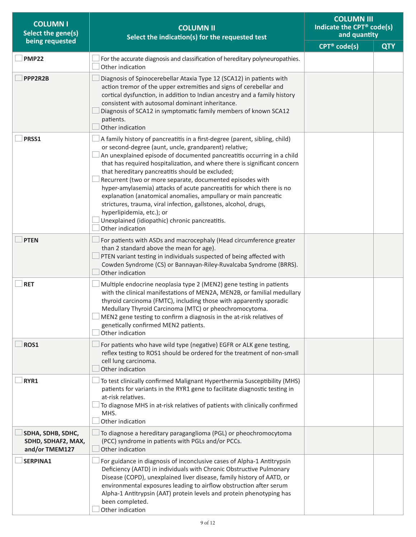| <b>COLUMN I</b><br>Select the gene(s)                     | <b>COLUMN II</b><br>Select the indication(s) for the requested test                                                                                                                                                                                                                                                                                                                                                                                                                                                                                                                                                                                                                                                             | <b>COLUMN III</b><br>Indicate the CPT® code(s)<br>and quantity |            |
|-----------------------------------------------------------|---------------------------------------------------------------------------------------------------------------------------------------------------------------------------------------------------------------------------------------------------------------------------------------------------------------------------------------------------------------------------------------------------------------------------------------------------------------------------------------------------------------------------------------------------------------------------------------------------------------------------------------------------------------------------------------------------------------------------------|----------------------------------------------------------------|------------|
| being requested                                           |                                                                                                                                                                                                                                                                                                                                                                                                                                                                                                                                                                                                                                                                                                                                 | CPT <sup>®</sup> code(s)                                       | <b>QTY</b> |
| <b>PMP22</b>                                              | For the accurate diagnosis and classification of hereditary polyneuropathies.<br>Other indication                                                                                                                                                                                                                                                                                                                                                                                                                                                                                                                                                                                                                               |                                                                |            |
| PPP2R2B                                                   | Diagnosis of Spinocerebellar Ataxia Type 12 (SCA12) in patients with<br>action tremor of the upper extremities and signs of cerebellar and<br>cortical dysfunction, in addition to Indian ancestry and a family history<br>consistent with autosomal dominant inheritance.<br>Diagnosis of SCA12 in symptomatic family members of known SCA12<br>patients.<br>Other indication                                                                                                                                                                                                                                                                                                                                                  |                                                                |            |
| PRSS1                                                     | A family history of pancreatitis in a first-degree (parent, sibling, child)<br>or second-degree (aunt, uncle, grandparent) relative;<br>An unexplained episode of documented pancreatitis occurring in a child<br>that has required hospitalization, and where there is significant concern<br>that hereditary pancreatitis should be excluded;<br>Recurrent (two or more separate, documented episodes with<br>hyper-amylasemia) attacks of acute pancreatitis for which there is no<br>explanation (anatomical anomalies, ampullary or main pancreatic<br>strictures, trauma, viral infection, gallstones, alcohol, drugs,<br>hyperlipidemia, etc.); or<br>Unexplained (idiopathic) chronic pancreatitis.<br>Other indication |                                                                |            |
| <b>PTEN</b>                                               | For patients with ASDs and macrocephaly (Head circumference greater<br>than 2 standard above the mean for age).<br>PTEN variant testing in individuals suspected of being affected with<br>Cowden Syndrome (CS) or Bannayan-Riley-Ruvalcaba Syndrome (BRRS).<br>Other indication                                                                                                                                                                                                                                                                                                                                                                                                                                                |                                                                |            |
| <b>RET</b>                                                | Multiple endocrine neoplasia type 2 (MEN2) gene testing in patients<br>with the clinical manifestations of MEN2A, MEN2B, or familial medullary<br>thyroid carcinoma (FMTC), including those with apparently sporadic<br>Medullary Thyroid Carcinoma (MTC) or pheochromocytoma.<br>MEN2 gene testing to confirm a diagnosis in the at-risk relatives of<br>genetically confirmed MEN2 patients.<br>Other indication                                                                                                                                                                                                                                                                                                              |                                                                |            |
| ROS1                                                      | For patients who have wild type (negative) EGFR or ALK gene testing,<br>reflex testing to ROS1 should be ordered for the treatment of non-small<br>cell lung carcinoma.<br>Other indication                                                                                                                                                                                                                                                                                                                                                                                                                                                                                                                                     |                                                                |            |
| RYR1                                                      | To test clinically confirmed Malignant Hyperthermia Susceptibility (MHS)<br>patients for variants in the RYR1 gene to facilitate diagnostic testing in<br>at-risk relatives.<br>To diagnose MHS in at-risk relatives of patients with clinically confirmed<br>MHS.<br>Other indication                                                                                                                                                                                                                                                                                                                                                                                                                                          |                                                                |            |
| SDHA, SDHB, SDHC,<br>SDHD, SDHAF2, MAX,<br>and/or TMEM127 | To diagnose a hereditary paraganglioma (PGL) or pheochromocytoma<br>(PCC) syndrome in patients with PGLs and/or PCCs.<br>Other indication                                                                                                                                                                                                                                                                                                                                                                                                                                                                                                                                                                                       |                                                                |            |
| SERPINA1                                                  | For guidance in diagnosis of inconclusive cases of Alpha-1 Antitrypsin<br>Deficiency (AATD) in individuals with Chronic Obstructive Pulmonary<br>Disease (COPD), unexplained liver disease, family history of AATD, or<br>environmental exposures leading to airflow obstruction after serum<br>Alpha-1 Antitrypsin (AAT) protein levels and protein phenotyping has<br>been completed.<br>Other indication                                                                                                                                                                                                                                                                                                                     |                                                                |            |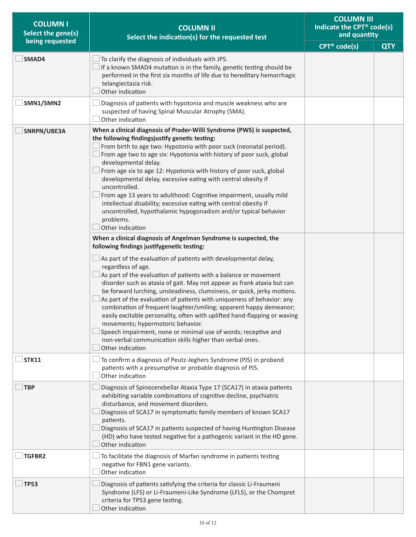| <b>COLUMN I</b><br>Select the gene(s) | <b>COLUMN II</b><br>Select the indication(s) for the requested test<br>being requested                                                                                                                                                                                                                                                                                                                                                                                                                                                                                                                                                                                                                                                                                                                                                                                                                                                                                                                                                                                                                                                                                                                                                                                                                                                                                                                                                                                                                                                              |  | <b>COLUMN III</b><br>Indicate the CPT <sup>®</sup> code(s)<br>and quantity |
|---------------------------------------|-----------------------------------------------------------------------------------------------------------------------------------------------------------------------------------------------------------------------------------------------------------------------------------------------------------------------------------------------------------------------------------------------------------------------------------------------------------------------------------------------------------------------------------------------------------------------------------------------------------------------------------------------------------------------------------------------------------------------------------------------------------------------------------------------------------------------------------------------------------------------------------------------------------------------------------------------------------------------------------------------------------------------------------------------------------------------------------------------------------------------------------------------------------------------------------------------------------------------------------------------------------------------------------------------------------------------------------------------------------------------------------------------------------------------------------------------------------------------------------------------------------------------------------------------------|--|----------------------------------------------------------------------------|
|                                       |                                                                                                                                                                                                                                                                                                                                                                                                                                                                                                                                                                                                                                                                                                                                                                                                                                                                                                                                                                                                                                                                                                                                                                                                                                                                                                                                                                                                                                                                                                                                                     |  | <b>QTY</b>                                                                 |
| SMAD4                                 | To clarify the diagnosis of individuals with JPS.<br>If a known SMAD4 mutation is in the family, genetic testing should be<br>performed in the first six months of life due to hereditary hemorrhagic<br>telangiectasia risk.<br>Other indication                                                                                                                                                                                                                                                                                                                                                                                                                                                                                                                                                                                                                                                                                                                                                                                                                                                                                                                                                                                                                                                                                                                                                                                                                                                                                                   |  |                                                                            |
| SMN1/SMN2                             | Diagnosis of patients with hypotonia and muscle weakness who are<br>suspected of having Spinal Muscular Atrophy (SMA).<br>Other indication                                                                                                                                                                                                                                                                                                                                                                                                                                                                                                                                                                                                                                                                                                                                                                                                                                                                                                                                                                                                                                                                                                                                                                                                                                                                                                                                                                                                          |  |                                                                            |
| SNRPN/UBE3A                           | When a clinical diagnosis of Prader-Willi Syndrome (PWS) is suspected,<br>the following findingsjustify genetic testing:<br>From birth to age two: Hypotonia with poor suck (neonatal period).<br>From age two to age six: Hypotonia with history of poor suck, global<br>developmental delay.<br>From age six to age 12: Hypotonia with history of poor suck, global<br>developmental delay, excessive eating with central obesity if<br>uncontrolled.<br>From age 13 years to adulthood: Cognitive impairment, usually mild<br>intellectual disability; excessive eating with central obesity if<br>uncontrolled, hypothalamic hypogonadism and/or typical behavior<br>problems.<br>Other indication<br>When a clinical diagnosis of Angelman Syndrome is suspected, the<br>following findings justifygenetic testing:<br>As part of the evaluation of patients with developmental delay,<br>regardless of age.<br>$\perp$ As part of the evaluation of patients with a balance or movement<br>disorder such as ataxia of gait. May not appear as frank ataxia but can<br>be forward lurching, unsteadiness, clumsiness, or quick, jerky motions.<br>As part of the evaluation of patients with uniqueness of behavior: any<br>combination of frequent laughter/smiling; apparent happy demeanor;<br>easily excitable personality, often with uplifted hand-flapping or waving<br>movements; hypermotoric behavior.<br>Speech impairment, none or minimal use of words; receptive and<br>non-verbal communication skills higher than verbal ones. |  |                                                                            |
| <b>STK11</b>                          | Other indication<br>To confirm a diagnosis of Peutz-Jeghers Syndrome (PJS) in proband<br>patients with a presumptive or probable diagnosis of PJS.<br>Other indication                                                                                                                                                                                                                                                                                                                                                                                                                                                                                                                                                                                                                                                                                                                                                                                                                                                                                                                                                                                                                                                                                                                                                                                                                                                                                                                                                                              |  |                                                                            |
| <b>TBP</b>                            | Diagnosis of Spinocerebellar Ataxia Type 17 (SCA17) in ataxia patients<br>exhibiting variable combinations of cognitive decline, psychiatric<br>disturbance, and movement disorders.<br>Diagnosis of SCA17 in symptomatic family members of known SCA17<br>patients.<br>Diagnosis of SCA17 in patients suspected of having Huntington Disease<br>(HD) who have tested negative for a pathogenic variant in the HD gene.<br>Other indication                                                                                                                                                                                                                                                                                                                                                                                                                                                                                                                                                                                                                                                                                                                                                                                                                                                                                                                                                                                                                                                                                                         |  |                                                                            |
| TGFBR2                                | To facilitate the diagnosis of Marfan syndrome in patients testing<br>negative for FBN1 gene variants.<br>Other indication                                                                                                                                                                                                                                                                                                                                                                                                                                                                                                                                                                                                                                                                                                                                                                                                                                                                                                                                                                                                                                                                                                                                                                                                                                                                                                                                                                                                                          |  |                                                                            |
| <b>TP53</b>                           | Diagnosis of patients satisfying the criteria for classic Li-Fraumeni<br>Syndrome (LFS) or Li-Fraumeni-Like Syndrome (LFLS), or the Chompret<br>criteria for TP53 gene testing.<br>Other indication                                                                                                                                                                                                                                                                                                                                                                                                                                                                                                                                                                                                                                                                                                                                                                                                                                                                                                                                                                                                                                                                                                                                                                                                                                                                                                                                                 |  |                                                                            |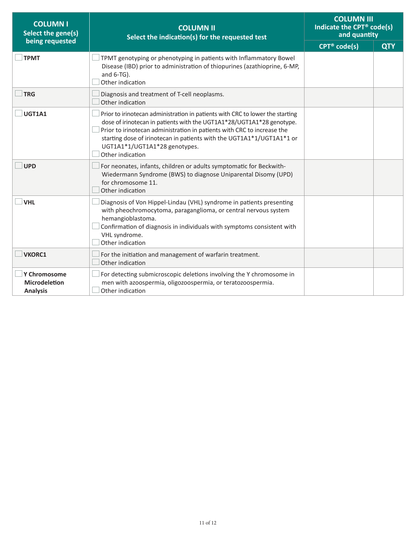| <b>COLUMN I</b><br>Select the gene(s)                   | <b>COLUMN II</b><br>Select the indication(s) for the requested test                                                                                                                                                                                                                                                                                             |                          | <b>COLUMN III</b><br>Indicate the CPT <sup>®</sup> code(s)<br>and quantity |
|---------------------------------------------------------|-----------------------------------------------------------------------------------------------------------------------------------------------------------------------------------------------------------------------------------------------------------------------------------------------------------------------------------------------------------------|--------------------------|----------------------------------------------------------------------------|
| being requested                                         |                                                                                                                                                                                                                                                                                                                                                                 | CPT <sup>®</sup> code(s) | <b>QTY</b>                                                                 |
| <b>TPMT</b>                                             | TPMT genotyping or phenotyping in patients with Inflammatory Bowel<br>Disease (IBD) prior to administration of thiopurines (azathioprine, 6-MP,<br>and $6-TG$ ).<br>Other indication                                                                                                                                                                            |                          |                                                                            |
| <b>TRG</b>                                              | Diagnosis and treatment of T-cell neoplasms.<br>Other indication                                                                                                                                                                                                                                                                                                |                          |                                                                            |
| UGT1A1                                                  | Prior to irinotecan administration in patients with CRC to lower the starting<br>dose of irinotecan in patients with the UGT1A1*28/UGT1A1*28 genotype.<br>Prior to irinotecan administration in patients with CRC to increase the<br>starting dose of irinotecan in patients with the UGT1A1*1/UGT1A1*1 or<br>UGT1A1*1/UGT1A1*28 genotypes.<br>Other indication |                          |                                                                            |
| <b>UPD</b>                                              | For neonates, infants, children or adults symptomatic for Beckwith-<br>Wiedermann Syndrome (BWS) to diagnose Uniparental Disomy (UPD)<br>for chromosome 11.<br>Other indication                                                                                                                                                                                 |                          |                                                                            |
| <b>VHL</b>                                              | Diagnosis of Von Hippel-Lindau (VHL) syndrome in patients presenting<br>with pheochromocytoma, paraganglioma, or central nervous system<br>hemangioblastoma.<br>Confirmation of diagnosis in individuals with symptoms consistent with<br>VHL syndrome.<br>Other indication                                                                                     |                          |                                                                            |
| <b>VKORC1</b>                                           | For the initiation and management of warfarin treatment.<br>Other indication                                                                                                                                                                                                                                                                                    |                          |                                                                            |
| Y Chromosome<br><b>Microdeletion</b><br><b>Analysis</b> | For detecting submicroscopic deletions involving the Y chromosome in<br>men with azoospermia, oligozoospermia, or teratozoospermia.<br>Other indication                                                                                                                                                                                                         |                          |                                                                            |